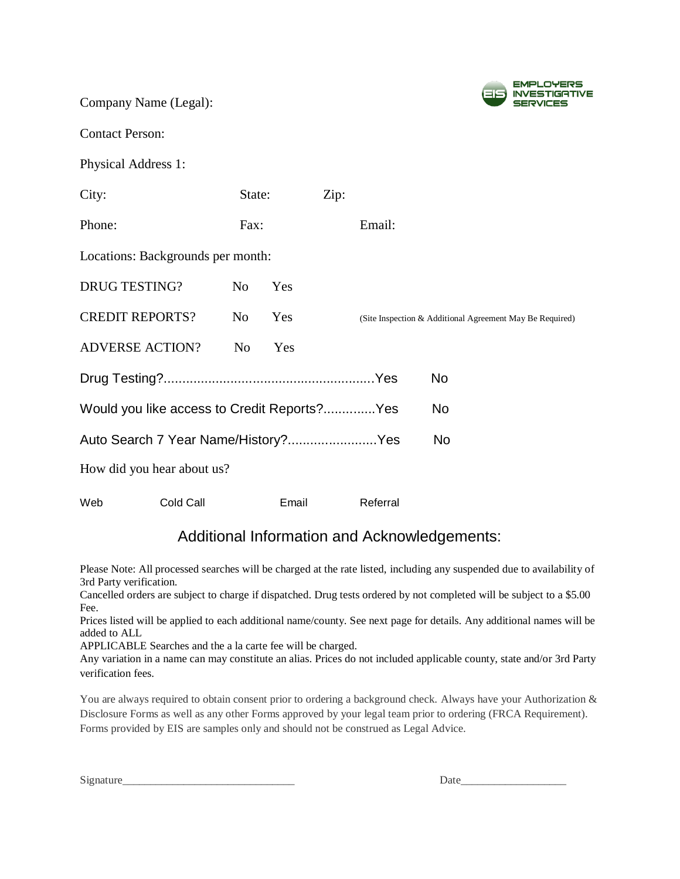Company Name (Legal):



Contact Person:

Physical Address 1:

| City:                                                     |           | State:         |       | Zip: |          |                                                          |
|-----------------------------------------------------------|-----------|----------------|-------|------|----------|----------------------------------------------------------|
| Phone:                                                    |           | Fax:           |       |      | Email:   |                                                          |
| Locations: Backgrounds per month:                         |           |                |       |      |          |                                                          |
| <b>DRUG TESTING?</b>                                      |           | No             | Yes   |      |          |                                                          |
| <b>CREDIT REPORTS?</b>                                    |           | No             | Yes   |      |          | (Site Inspection & Additional Agreement May Be Required) |
| <b>ADVERSE ACTION?</b>                                    |           | N <sub>o</sub> | Yes   |      |          |                                                          |
|                                                           |           |                |       |      |          | N <sub>o</sub>                                           |
| Would you like access to Credit Reports? Yes<br><b>No</b> |           |                |       |      |          |                                                          |
| Auto Search 7 Year Name/History?Yes<br>N <sub>o</sub>     |           |                |       |      |          |                                                          |
| How did you hear about us?                                |           |                |       |      |          |                                                          |
| Web                                                       | Cold Call |                | Email |      | Referral |                                                          |

# Additional Information and Acknowledgements:

Please Note: All processed searches will be charged at the rate listed, including any suspended due to availability of 3rd Party verification.

Cancelled orders are subject to charge if dispatched. Drug tests ordered by not completed will be subject to a \$5.00 Fee.

Prices listed will be applied to each additional name/county. See next page for details. Any additional names will be added to ALL

APPLICABLE Searches and the a la carte fee will be charged.

Any variation in a name can may constitute an alias. Prices do not included applicable county, state and/or 3rd Party verification fees.

You are always required to obtain consent prior to ordering a background check. Always have your Authorization & Disclosure Forms as well as any other Forms approved by your legal team prior to ordering (FRCA Requirement). Forms provided by EIS are samples only and should not be construed as Legal Advice.

| Signature |  |  |
|-----------|--|--|
|           |  |  |

Signature\_\_\_\_\_\_\_\_\_\_\_\_\_\_\_\_\_\_\_\_\_\_\_\_\_\_\_\_\_\_\_ Date\_\_\_\_\_\_\_\_\_\_\_\_\_\_\_\_\_\_\_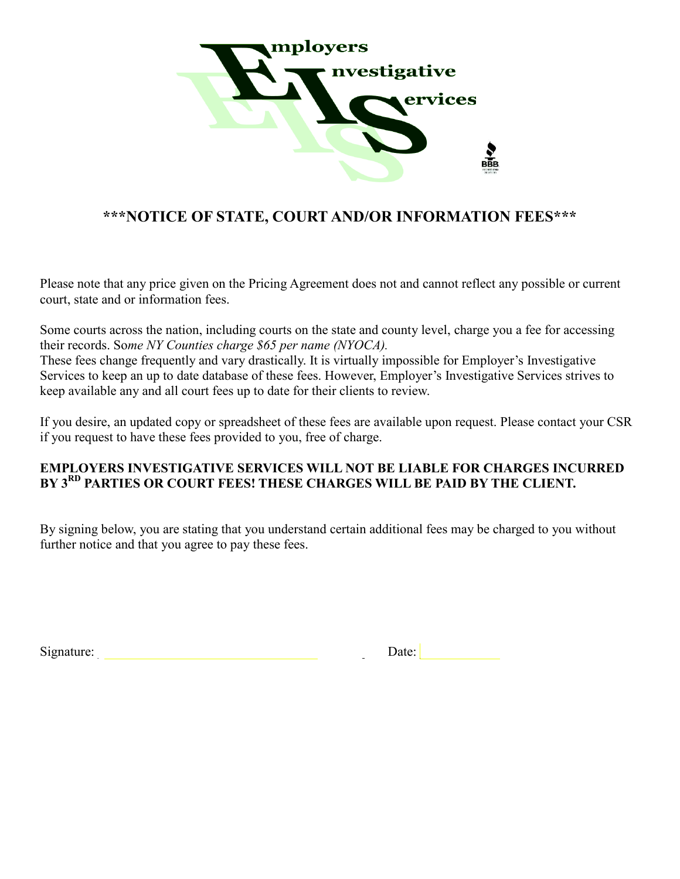

# **\*\*\*NOTICE OF STATE, COURT AND/OR INFORMATION FEES\*\*\***

Please note that any price given on the Pricing Agreement does not and cannot reflect any possible or current court, state and or information fees.

Some courts across the nation, including courts on the state and county level, charge you a fee for accessing their records. So*me NY Counties charge \$65 per name (NYOCA).*

These fees change frequently and vary drastically. It is virtually impossible for Employer's Investigative Services to keep an up to date database of these fees. However, Employer's Investigative Services strives to keep available any and all court fees up to date for their clients to review.

If you desire, an updated copy or spreadsheet of these fees are available upon request. Please contact your CSR if you request to have these fees provided to you, free of charge.

### **EMPLOYERS INVESTIGATIVE SERVICES WILL NOT BE LIABLE FOR CHARGES INCURRED BY 3RD PARTIES OR COURT FEES! THESE CHARGES WILL BE PAID BY THE CLIENT.**

By signing below, you are stating that you understand certain additional fees may be charged to you without further notice and that you agree to pay these fees.

| $\sim \cdot$<br>Signature: | Jate <sup>-</sup> |  |
|----------------------------|-------------------|--|
|                            |                   |  |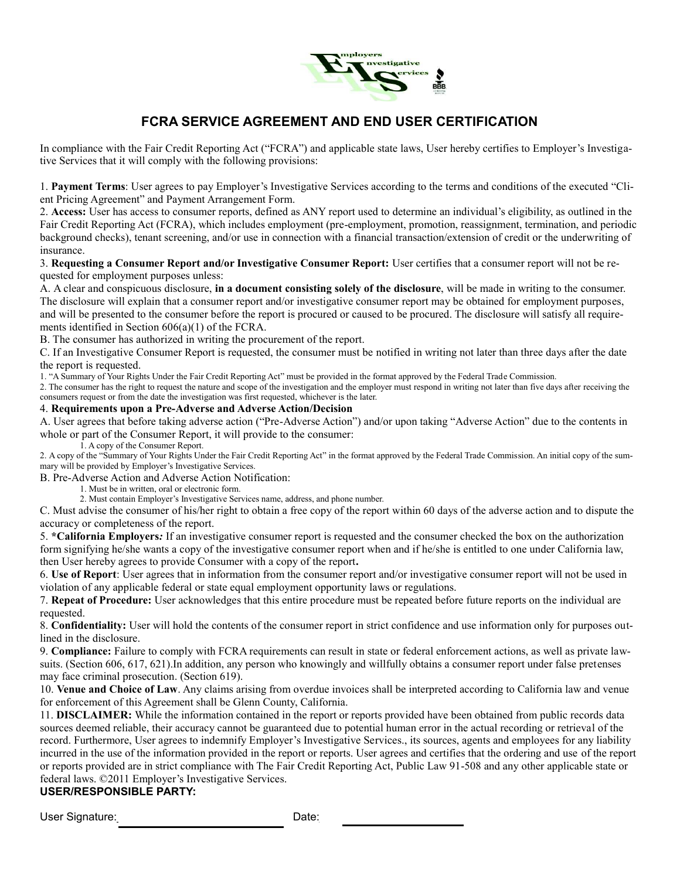

## **FCRA SERVICE AGREEMENT AND END USER CERTIFICATION**

In compliance with the Fair Credit Reporting Act ("FCRA") and applicable state laws, User hereby certifies to Employer's Investigative Services that it will comply with the following provisions:

1. **Payment Terms**: User agrees to pay Employer's Investigative Services according to the terms and conditions of the executed "Client Pricing Agreement" and Payment Arrangement Form.

2. **Access:** User has access to consumer reports, defined as ANY report used to determine an individual's eligibility, as outlined in the Fair Credit Reporting Act (FCRA), which includes employment (pre-employment, promotion, reassignment, termination, and periodic background checks), tenant screening, and/or use in connection with a financial transaction/extension of credit or the underwriting of insurance.

3. **Requesting a Consumer Report and/or Investigative Consumer Report:** User certifies that a consumer report will not be requested for employment purposes unless:

A. A clear and conspicuous disclosure, **in a document consisting solely of the disclosure**, will be made in writing to the consumer. The disclosure will explain that a consumer report and/or investigative consumer report may be obtained for employment purposes, and will be presented to the consumer before the report is procured or caused to be procured. The disclosure will satisfy all requirements identified in Section 606(a)(1) of the FCRA.

B. The consumer has authorized in writing the procurement of the report.

C. If an Investigative Consumer Report is requested, the consumer must be notified in writing not later than three days after the date the report is requested.

1. "A Summary of Your Rights Under the Fair Credit Reporting Act" must be provided in the format approved by the Federal Trade Commission.

2. The consumer has the right to request the nature and scope of the investigation and the employer must respond in writing not later than five days after receiving the consumers request or from the date the investigation was first requested, whichever is the later.

#### 4. **Requirements upon a Pre-Adverse and Adverse Action/Decision**

A. User agrees that before taking adverse action ("Pre-Adverse Action") and/or upon taking "Adverse Action" due to the contents in whole or part of the Consumer Report, it will provide to the consumer:

1. A copy of the Consumer Report.

2. A copy of the "Summary of Your Rights Under the Fair Credit Reporting Act" in the format approved by the Federal Trade Commission. An initial copy of the summary will be provided by Employer's Investigative Services.

B. Pre-Adverse Action and Adverse Action Notification:

1. Must be in written, oral or electronic form.

2. Must contain Employer's Investigative Services name, address, and phone number.

C. Must advise the consumer of his/her right to obtain a free copy of the report within 60 days of the adverse action and to dispute the accuracy or completeness of the report.

5. **\*California Employers***:* If an investigative consumer report is requested and the consumer checked the box on the authorization form signifying he/she wants a copy of the investigative consumer report when and if he/she is entitled to one under California law, then User hereby agrees to provide Consumer with a copy of the report**.**

6. **Use of Report**: User agrees that in information from the consumer report and/or investigative consumer report will not be used in violation of any applicable federal or state equal employment opportunity laws or regulations.

7. **Repeat of Procedure:** User acknowledges that this entire procedure must be repeated before future reports on the individual are requested.

8. **Confidentiality:** User will hold the contents of the consumer report in strict confidence and use information only for purposes outlined in the disclosure.

9. **Compliance:** Failure to comply with FCRA requirements can result in state or federal enforcement actions, as well as private lawsuits. (Section 606, 617, 621).In addition, any person who knowingly and willfully obtains a consumer report under false pretenses may face criminal prosecution. (Section 619).

10. **Venue and Choice of Law**. Any claims arising from overdue invoices shall be interpreted according to California law and venue for enforcement of this Agreement shall be Glenn County, California.

11. **DISCLAIMER:** While the information contained in the report or reports provided have been obtained from public records data sources deemed reliable, their accuracy cannot be guaranteed due to potential human error in the actual recording or retrieval of the record. Furthermore, User agrees to indemnify Employer's Investigative Services., its sources, agents and employees for any liability incurred in the use of the information provided in the report or reports. User agrees and certifies that the ordering and use of the report or reports provided are in strict compliance with The Fair Credit Reporting Act, Public Law 91-508 and any other applicable state or federal laws. ©2011 Employer's Investigative Services.

### **USER/RESPONSIBLE PARTY:**

User Signature:\_\_\_\_\_\_\_\_\_\_\_\_\_\_\_\_\_\_\_\_\_ Date:\_\_\_\_\_\_\_\_\_\_\_\_\_\_\_\_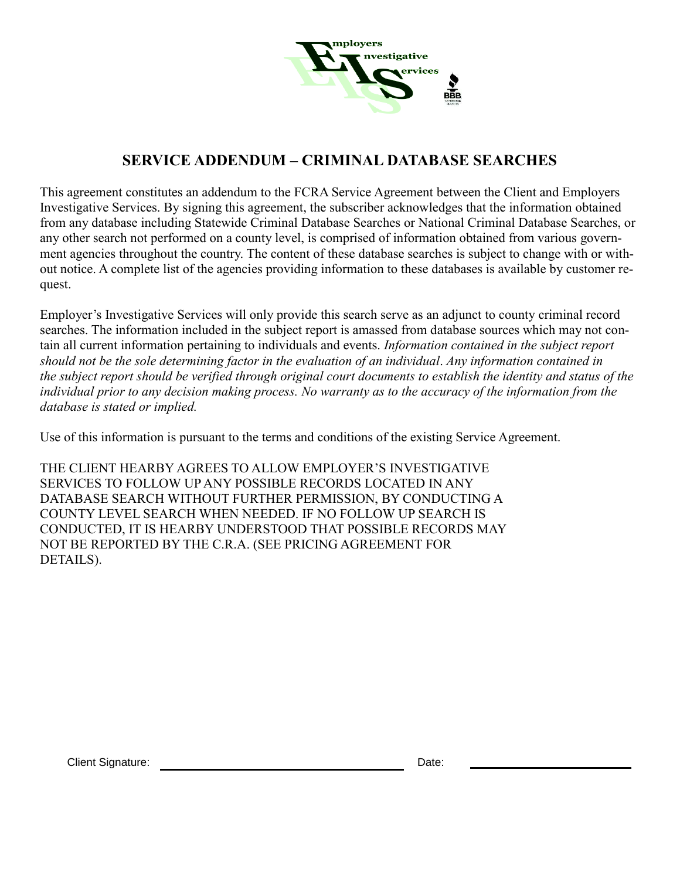

# **SERVICE ADDENDUM – CRIMINAL DATABASE SEARCHES**

This agreement constitutes an addendum to the FCRA Service Agreement between the Client and Employers Investigative Services. By signing this agreement, the subscriber acknowledges that the information obtained from any database including Statewide Criminal Database Searches or National Criminal Database Searches, or any other search not performed on a county level, is comprised of information obtained from various government agencies throughout the country. The content of these database searches is subject to change with or without notice. A complete list of the agencies providing information to these databases is available by customer request.

Employer's Investigative Services will only provide this search serve as an adjunct to county criminal record searches. The information included in the subject report is amassed from database sources which may not contain all current information pertaining to individuals and events. *Information contained in the subject report should not be the sole determining factor in the evaluation of an individual*. *Any information contained in the subject report should be verified through original court documents to establish the identity and status of the individual prior to any decision making process. No warranty as to the accuracy of the information from the database is stated or implied.*

Use of this information is pursuant to the terms and conditions of the existing Service Agreement.

THE CLIENT HEARBY AGREES TO ALLOW EMPLOYER'S INVESTIGATIVE SERVICES TO FOLLOW UP ANY POSSIBLE RECORDS LOCATED IN ANY DATABASE SEARCH WITHOUT FURTHER PERMISSION, BY CONDUCTING A COUNTY LEVEL SEARCH WHEN NEEDED. IF NO FOLLOW UP SEARCH IS CONDUCTED, IT IS HEARBY UNDERSTOOD THAT POSSIBLE RECORDS MAY NOT BE REPORTED BY THE C.R.A. (SEE PRICING AGREEMENT FOR DETAILS).

Client Signature: Date: Date: Date: Date: Date: Date: Date: Date: Date: Date: Date: Date: Date: Date: Date: Date: Date: Date: Date: Date: Date: Date: Date: Date: Date: Date: Date: Date: Date: Date: Date: Date: Date: Date: